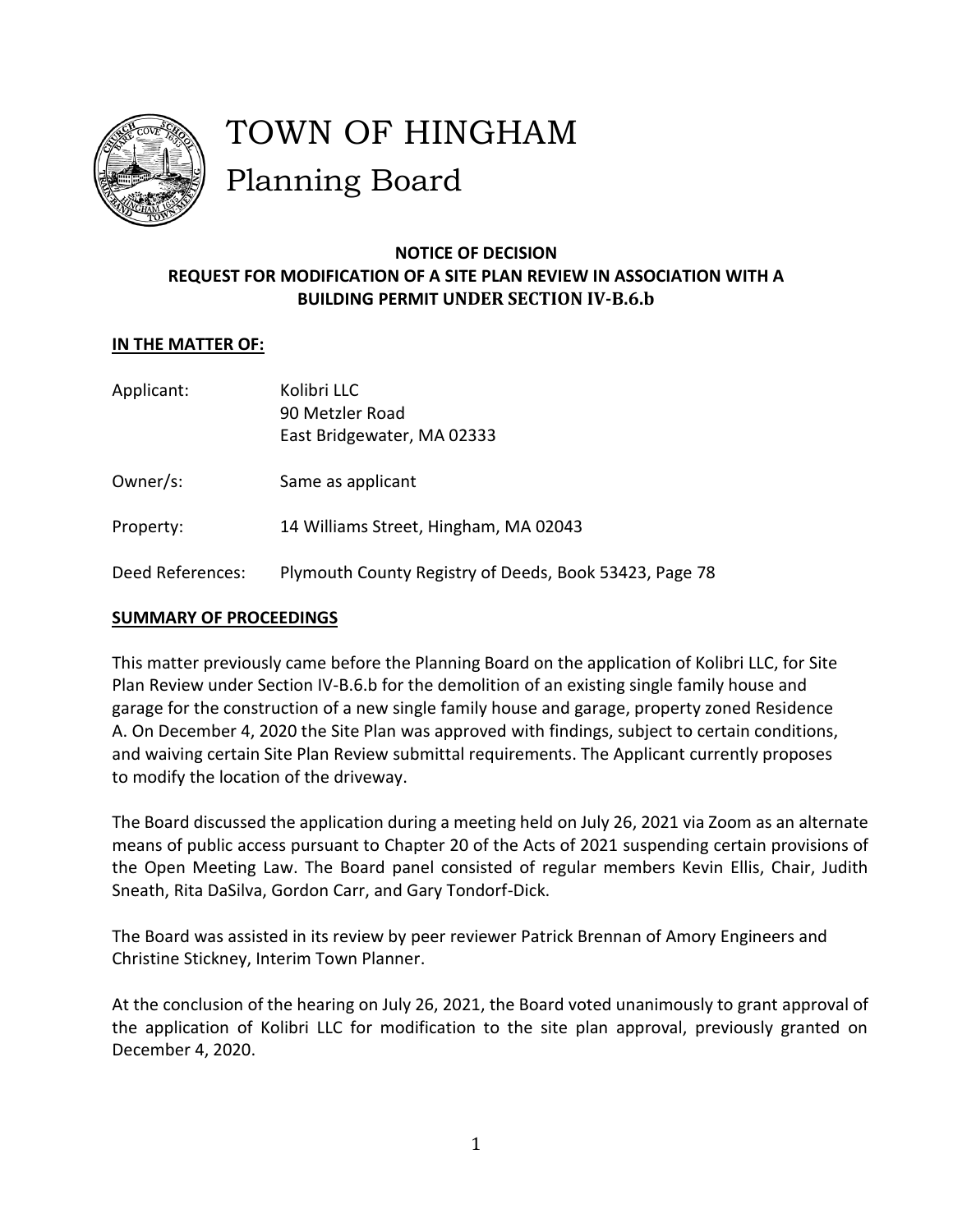

# TOWN OF HINGHAM Planning Board

# **NOTICE OF DECISION REQUEST FOR MODIFICATION OF A SITE PLAN REVIEW IN ASSOCIATION WITH A BUILDING PERMIT UNDER SECTION IV-B.6.b**

# **IN THE MATTER OF:**

- Applicant: Kolibri LLC 90 Metzler Road East Bridgewater, MA 02333 Owner/s: Same as applicant
- Property: 14 Williams Street, Hingham, MA 02043
- Deed References: Plymouth County Registry of Deeds, Book 53423, Page 78

## **SUMMARY OF PROCEEDINGS**

This matter previously came before the Planning Board on the application of Kolibri LLC, for Site Plan Review under Section IV-B.6.b for the demolition of an existing single family house and garage for the construction of a new single family house and garage, property zoned Residence A. On December 4, 2020 the Site Plan was approved with findings, subject to certain conditions, and waiving certain Site Plan Review submittal requirements. The Applicant currently proposes to modify the location of the driveway.

The Board discussed the application during a meeting held on July 26, 2021 via Zoom as an alternate means of public access pursuant to Chapter 20 of the Acts of 2021 suspending certain provisions of the Open Meeting Law. The Board panel consisted of regular members Kevin Ellis, Chair, Judith Sneath, Rita DaSilva, Gordon Carr, and Gary Tondorf-Dick.

The Board was assisted in its review by peer reviewer Patrick Brennan of Amory Engineers and Christine Stickney, Interim Town Planner.

At the conclusion of the hearing on July 26, 2021, the Board voted unanimously to grant approval of the application of Kolibri LLC for modification to the site plan approval, previously granted on December 4, 2020.